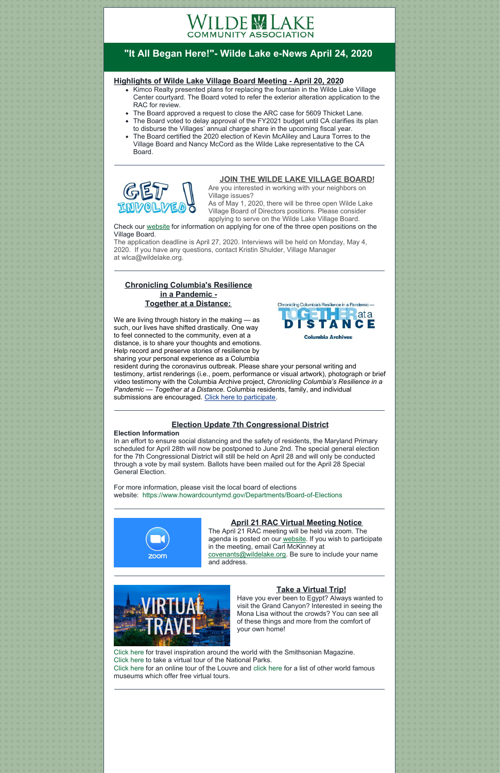# VILDE WLAKE **COMMUNITY ASSOCIATION**

# **"It All Began Here!"- Wilde Lake e-News April 24, 2020**

#### **Highlights of Wilde Lake Village Board Meeting - April 20, 2020**

- Kimco Realty presented plans for replacing the fountain in the Wilde Lake Village Center courtyard. The Board voted to refer the exterior alteration application to the RAC for review.
- The Board approved a request to close the ARC case for 5609 Thicket Lane.
- The Board voted to delay approval of the FY2021 budget until CA clarifies its plan to disburse the Villages' annual charge share in the upcoming fiscal year.
- The Board certified the 2020 election of Kevin McAliley and Laura Torres to the Village Board and Nancy McCord as the Wilde Lake representative to the CA Board.



## **JOIN THE WILDE LAKE VILLAGE BOARD!**

Are you interested in working with your neighbors on Village issues?

We are living through history in the making — as such, our lives have shifted drastically. One way to feel connected to the community, even at a distance, is to share your thoughts and emotions. Help record and preserve stories of resilience by sharing your personal experience as a Columbia

resident during the coronavirus outbreak. Please share your personal writing and testimony, artist renderings (i.e., poem, performance or visual artwork), photograph or brief video testimony with the Columbia Archive project, *Chronicling Columbia's Resilience in a Pandemic — Together at a Distance*. Columbia residents, family, and individual submissions are encouraged. Click here to [participate](https://docs.google.com/forms/d/e/1FAIpQLSe7VyoUOecntp3ylNO1GcDcMKi0aRzPDpK8lDwPmvDW8bDV7A/viewform?usp=sf_link).



As of May 1, 2020, there will be three open Wilde Lake Village Board of Directors positions. Please consider applying to serve on the Wilde Lake Village Board.

Check our [website](https://www.wildelake.org/village-board/wilde-lake-village-elections/) for information on applying for one of the three open positions on the Village Board.

The application deadline is April 27, 2020. Interviews will be held on Monday, May 4, 2020. If you have any questions, contact Kristin Shulder, Village Manager at [wlca@wildelake.org](mailto:wlca@wildelake.org).

## **Chronicling Columbia's Resilience in a Pandemic - Together at a Distance:**

# **Election Update 7th Congressional District**

#### **Election Information**

In an effort to ensure social distancing and the safety of residents, the Maryland Primary scheduled for April 28th will now be postponed to June 2nd. The special general election for the 7th Congressional District will still be held on April 28 and will only be conducted through a vote by mail system. Ballots have been mailed out for the April 28 Special General Election.

For more information, please visit the local board of elections website: <https://www.howardcountymd.gov/Departments/Board-of-Elections>



# **April 21 RAC Virtual Meeting Notice**

The April 21 RAC meeting will be held via zoom. The agenda is posted on our [website](https://www.wildelake.org/covenants/rac-agenda/). If you wish to participate in the meeting, email Carl McKinney at [covenants@wildelake.org](mailto:covenants@wildelake.org). Be sure to include your name and address.





# **Take a Virtual Trip!**

Have you ever been to Egypt? Always wanted to visit the Grand Canyon? Interested in seeing the Mona Lisa without the crowds? You can see all of these things and more from the comfort of your own home!

[Click](https://www.smithsonianmag.com/travel/virtual-travel-180974440/) here for travel inspiration around the world with the Smithsonian Magazine. [Click](https://www.nationalparks.org/connect/blog/take-virtual-visit-national-park) here to take a virtual tour of the National Parks. [Click](https://www.louvre.fr/en/visites-en-ligne) here for an online tour of the Louvre and [click](https://www.businesstraveller.com/business-travel/2020/04/02/these-museums-are-offering-free-virtual-tours/) here for a list of other world famous

museums which offer free virtual tours.